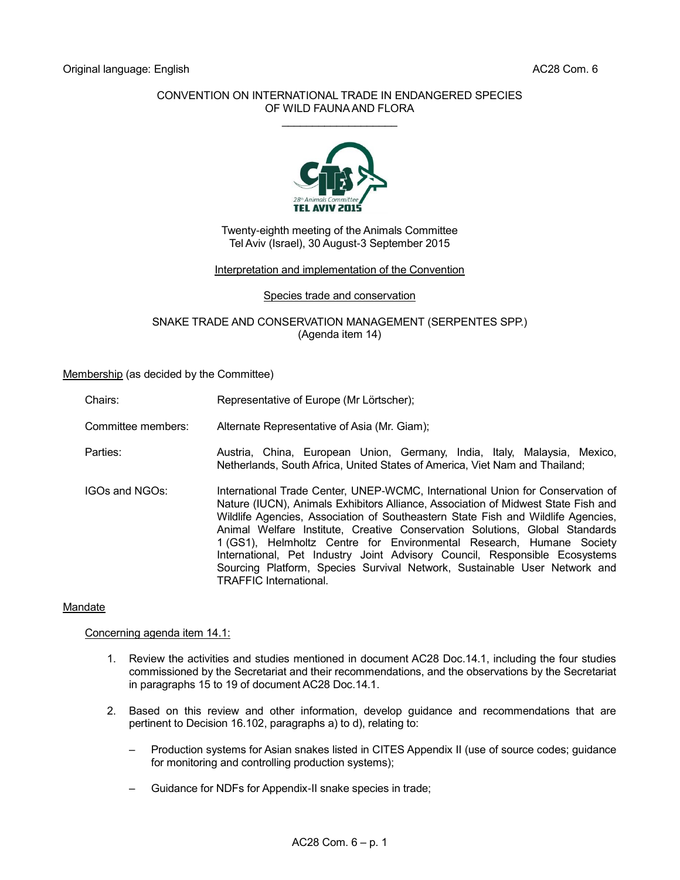# CONVENTION ON INTERNATIONAL TRADE IN ENDANGERED SPECIES OF WILD FAUNA AND FLORA  $\overline{\phantom{a}}$  , where  $\overline{\phantom{a}}$



Twenty-eighth meeting of the Animals Committee Tel Aviv (Israel), 30 August-3 September 2015

# Interpretation and implementation of the Convention

# Species trade and conservation

SNAKE TRADE AND CONSERVATION MANAGEMENT (SERPENTES SPP.) (Agenda item 14)

Membership (as decided by the Committee)

Chairs: Representative of Europe (Mr Lörtscher);

Committee members: Alternate Representative of Asia (Mr. Giam);

Parties: Austria, China, European Union, Germany, India, Italy, Malaysia, Mexico, Netherlands, South Africa, United States of America, Viet Nam and Thailand;

IGOs and NGOs: International Trade Center, UNEP-WCMC, International Union for Conservation of Nature (IUCN), Animals Exhibitors Alliance, Association of Midwest State Fish and Wildlife Agencies, Association of Southeastern State Fish and Wildlife Agencies, Animal Welfare Institute, Creative Conservation Solutions, Global Standards 1 (GS1), Helmholtz Centre for Environmental Research, Humane Society International, Pet Industry Joint Advisory Council, Responsible Ecosystems Sourcing Platform, Species Survival Network, Sustainable User Network and TRAFFIC International.

# Mandate

Concerning agenda item 14.1:

- 1. Review the activities and studies mentioned in document AC28 Doc.14.1, including the four studies commissioned by the Secretariat and their recommendations, and the observations by the Secretariat in paragraphs 15 to 19 of document AC28 Doc.14.1.
- 2. Based on this review and other information, develop guidance and recommendations that are pertinent to Decision 16.102, paragraphs a) to d), relating to:
	- Production systems for Asian snakes listed in CITES Appendix II (use of source codes; guidance for monitoring and controlling production systems);
	- Guidance for NDFs for Appendix-II snake species in trade;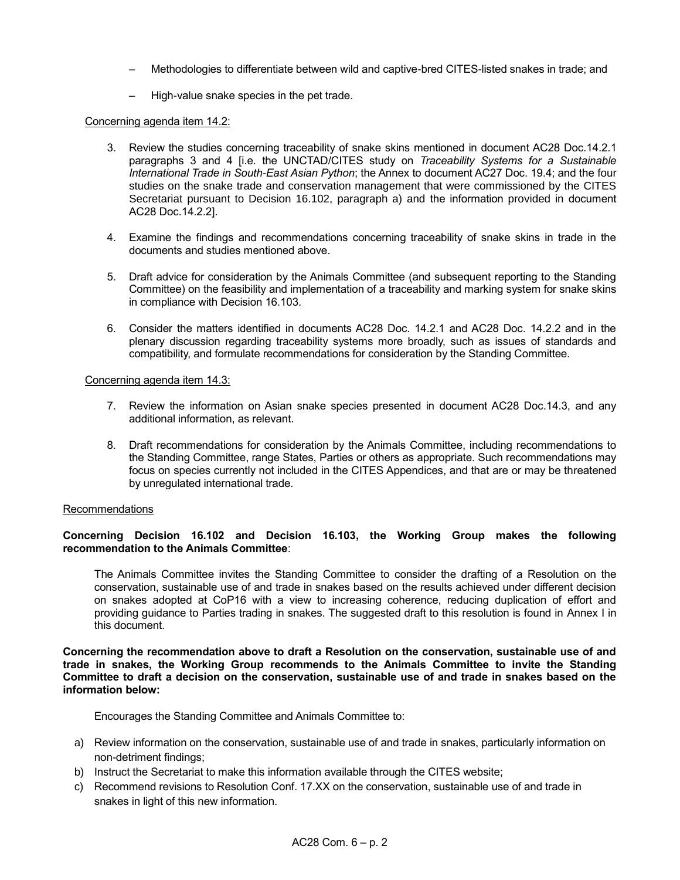- Methodologies to differentiate between wild and captive-bred CITES-listed snakes in trade; and
- High-value snake species in the pet trade.

# Concerning agenda item 14.2:

- 3. Review the studies concerning traceability of snake skins mentioned in document AC28 Doc.14.2.1 paragraphs 3 and 4 [i.e. the UNCTAD/CITES study on *Traceability Systems for a Sustainable International Trade in South-East Asian Python*; the Annex to document AC27 Doc. 19.4; and the four studies on the snake trade and conservation management that were commissioned by the CITES Secretariat pursuant to Decision 16.102, paragraph a) and the information provided in document AC28 Doc.14.2.2].
- 4. Examine the findings and recommendations concerning traceability of snake skins in trade in the documents and studies mentioned above.
- 5. Draft advice for consideration by the Animals Committee (and subsequent reporting to the Standing Committee) on the feasibility and implementation of a traceability and marking system for snake skins in compliance with Decision 16.103.
- 6. Consider the matters identified in documents AC28 Doc. 14.2.1 and AC28 Doc. 14.2.2 and in the plenary discussion regarding traceability systems more broadly, such as issues of standards and compatibility, and formulate recommendations for consideration by the Standing Committee.

#### Concerning agenda item 14.3:

- 7. Review the information on Asian snake species presented in document AC28 Doc.14.3, and any additional information, as relevant.
- 8. Draft recommendations for consideration by the Animals Committee, including recommendations to the Standing Committee, range States, Parties or others as appropriate. Such recommendations may focus on species currently not included in the CITES Appendices, and that are or may be threatened by unregulated international trade.

### **Recommendations**

# **Concerning Decision 16.102 and Decision 16.103, the Working Group makes the following recommendation to the Animals Committee**:

The Animals Committee invites the Standing Committee to consider the drafting of a Resolution on the conservation, sustainable use of and trade in snakes based on the results achieved under different decision on snakes adopted at CoP16 with a view to increasing coherence, reducing duplication of effort and providing guidance to Parties trading in snakes. The suggested draft to this resolution is found in Annex I in this document.

**Concerning the recommendation above to draft a Resolution on the conservation, sustainable use of and trade in snakes, the Working Group recommends to the Animals Committee to invite the Standing Committee to draft a decision on the conservation, sustainable use of and trade in snakes based on the information below:**

Encourages the Standing Committee and Animals Committee to:

- a) Review information on the conservation, sustainable use of and trade in snakes, particularly information on non-detriment findings;
- b) Instruct the Secretariat to make this information available through the CITES website;
- c) Recommend revisions to Resolution Conf. 17.XX on the conservation, sustainable use of and trade in snakes in light of this new information.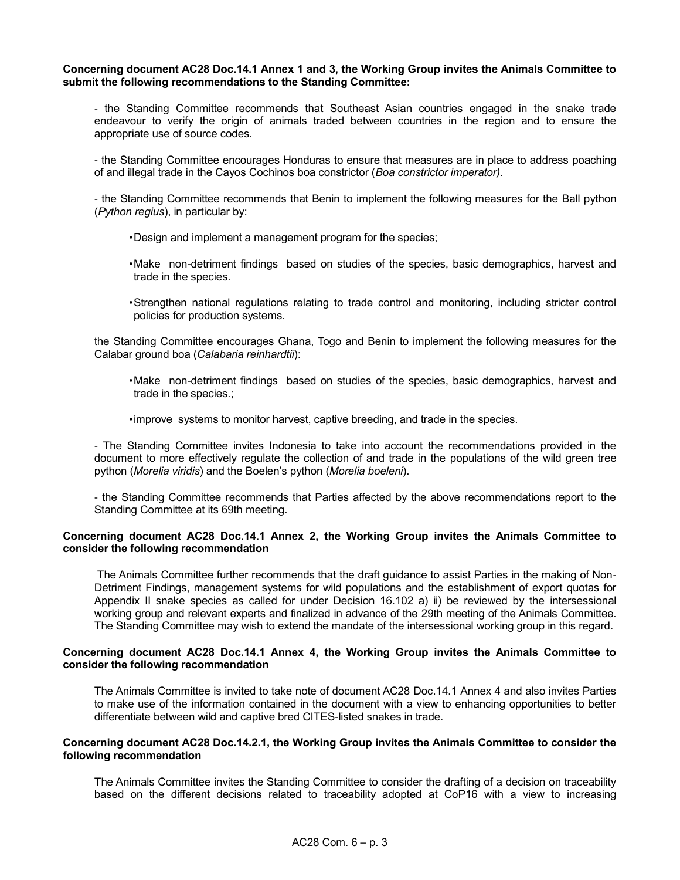#### **Concerning document AC28 Doc.14.1 Annex 1 and 3, the Working Group invites the Animals Committee to submit the following recommendations to the Standing Committee:**

- the Standing Committee recommends that Southeast Asian countries engaged in the snake trade endeavour to verify the origin of animals traded between countries in the region and to ensure the appropriate use of source codes.

- the Standing Committee encourages Honduras to ensure that measures are in place to address poaching of and illegal trade in the Cayos Cochinos boa constrictor (*Boa constrictor imperator).*

- the Standing Committee recommends that Benin to implement the following measures for the Ball python (*Python regius*), in particular by:

- •Design and implement a management program for the species;
- •Make non-detriment findings based on studies of the species, basic demographics, harvest and trade in the species.
- •Strengthen national regulations relating to trade control and monitoring, including stricter control policies for production systems.

the Standing Committee encourages Ghana, Togo and Benin to implement the following measures for the Calabar ground boa (*Calabaria reinhardtii*):

- •Make non-detriment findings based on studies of the species, basic demographics, harvest and trade in the species.;
- •improve systems to monitor harvest, captive breeding, and trade in the species.

- The Standing Committee invites Indonesia to take into account the recommendations provided in the document to more effectively regulate the collection of and trade in the populations of the wild green tree python (*Morelia viridis*) and the Boelen's python (*Morelia boeleni*).

- the Standing Committee recommends that Parties affected by the above recommendations report to the Standing Committee at its 69th meeting.

### **Concerning document AC28 Doc.14.1 Annex 2, the Working Group invites the Animals Committee to consider the following recommendation**

The Animals Committee further recommends that the draft guidance to assist Parties in the making of Non-Detriment Findings, management systems for wild populations and the establishment of export quotas for Appendix II snake species as called for under Decision 16.102 a) ii) be reviewed by the intersessional working group and relevant experts and finalized in advance of the 29th meeting of the Animals Committee. The Standing Committee may wish to extend the mandate of the intersessional working group in this regard.

# **Concerning document AC28 Doc.14.1 Annex 4, the Working Group invites the Animals Committee to consider the following recommendation**

The Animals Committee is invited to take note of document AC28 Doc.14.1 Annex 4 and also invites Parties to make use of the information contained in the document with a view to enhancing opportunities to better differentiate between wild and captive bred CITES-listed snakes in trade.

### **Concerning document AC28 Doc.14.2.1, the Working Group invites the Animals Committee to consider the following recommendation**

The Animals Committee invites the Standing Committee to consider the drafting of a decision on traceability based on the different decisions related to traceability adopted at CoP16 with a view to increasing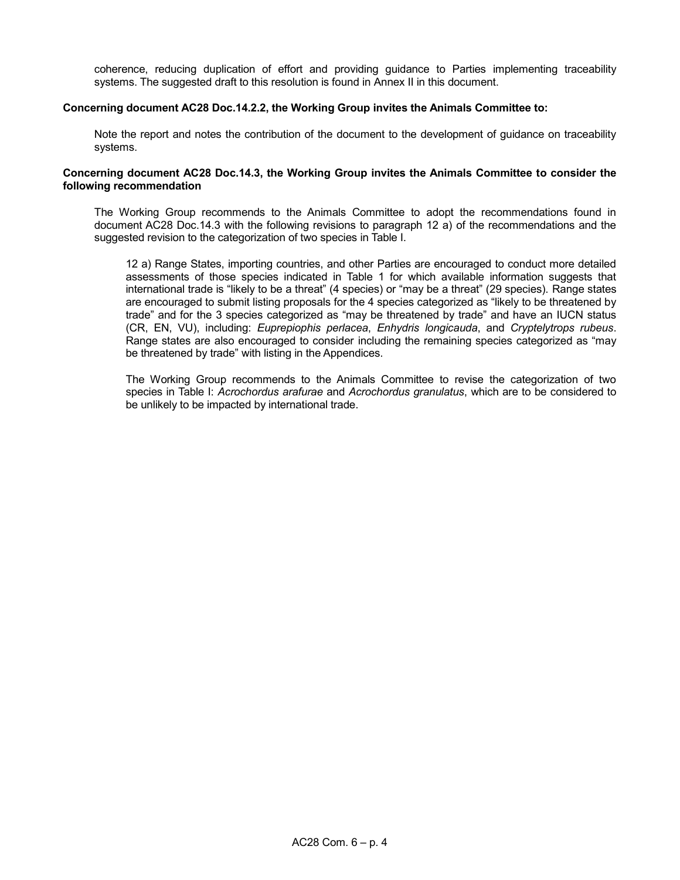coherence, reducing duplication of effort and providing guidance to Parties implementing traceability systems. The suggested draft to this resolution is found in Annex II in this document.

#### **Concerning document AC28 Doc.14.2.2, the Working Group invites the Animals Committee to:**

Note the report and notes the contribution of the document to the development of guidance on traceability systems.

#### **Concerning document AC28 Doc.14.3, the Working Group invites the Animals Committee to consider the following recommendation**

The Working Group recommends to the Animals Committee to adopt the recommendations found in document AC28 Doc.14.3 with the following revisions to paragraph 12 a) of the recommendations and the suggested revision to the categorization of two species in Table I.

12 a) Range States, importing countries, and other Parties are encouraged to conduct more detailed assessments of those species indicated in Table 1 for which available information suggests that international trade is "likely to be a threat" (4 species) or "may be a threat" (29 species). Range states are encouraged to submit listing proposals for the 4 species categorized as "likely to be threatened by trade" and for the 3 species categorized as "may be threatened by trade" and have an IUCN status (CR, EN, VU), including: *Euprepiophis perlacea*, *Enhydris longicauda*, and *Cryptelytrops rubeus*. Range states are also encouraged to consider including the remaining species categorized as "may be threatened by trade" with listing in the Appendices.

The Working Group recommends to the Animals Committee to revise the categorization of two species in Table I: *Acrochordus arafurae* and *Acrochordus granulatus*, which are to be considered to be unlikely to be impacted by international trade.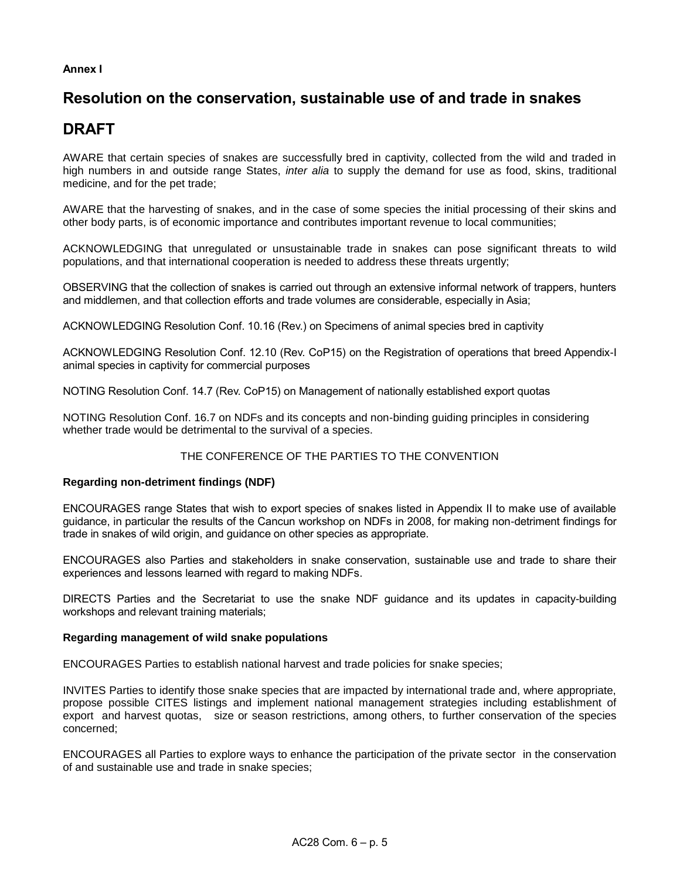# **Annex I**

# **Resolution on the conservation, sustainable use of and trade in snakes**

# **DRAFT**

AWARE that certain species of snakes are successfully bred in captivity, collected from the wild and traded in high numbers in and outside range States, *inter alia* to supply the demand for use as food, skins, traditional medicine, and for the pet trade;

AWARE that the harvesting of snakes, and in the case of some species the initial processing of their skins and other body parts, is of economic importance and contributes important revenue to local communities;

ACKNOWLEDGING that unregulated or unsustainable trade in snakes can pose significant threats to wild populations, and that international cooperation is needed to address these threats urgently;

OBSERVING that the collection of snakes is carried out through an extensive informal network of trappers, hunters and middlemen, and that collection efforts and trade volumes are considerable, especially in Asia;

ACKNOWLEDGING Resolution Conf. 10.16 (Rev.) on Specimens of animal species bred in captivity

ACKNOWLEDGING Resolution Conf. 12.10 (Rev. CoP15) on the Registration of operations that breed Appendix-I animal species in captivity for commercial purposes

NOTING Resolution Conf. 14.7 (Rev. CoP15) on Management of nationally established export quotas

NOTING Resolution Conf. 16.7 on NDFs and its concepts and non-binding guiding principles in considering whether trade would be detrimental to the survival of a species.

# THE CONFERENCE OF THE PARTIES TO THE CONVENTION

# **Regarding non-detriment findings (NDF)**

ENCOURAGES range States that wish to export species of snakes listed in Appendix II to make use of available guidance, in particular the results of the Cancun workshop on NDFs in 2008, for making non-detriment findings for trade in snakes of wild origin, and guidance on other species as appropriate.

ENCOURAGES also Parties and stakeholders in snake conservation, sustainable use and trade to share their experiences and lessons learned with regard to making NDFs.

DIRECTS Parties and the Secretariat to use the snake NDF guidance and its updates in capacity-building workshops and relevant training materials;

# **Regarding management of wild snake populations**

ENCOURAGES Parties to establish national harvest and trade policies for snake species;

INVITES Parties to identify those snake species that are impacted by international trade and, where appropriate, propose possible CITES listings and implement national management strategies including establishment of export and harvest quotas, size or season restrictions, among others, to further conservation of the species concerned;

ENCOURAGES all Parties to explore ways to enhance the participation of the private sector in the conservation of and sustainable use and trade in snake species;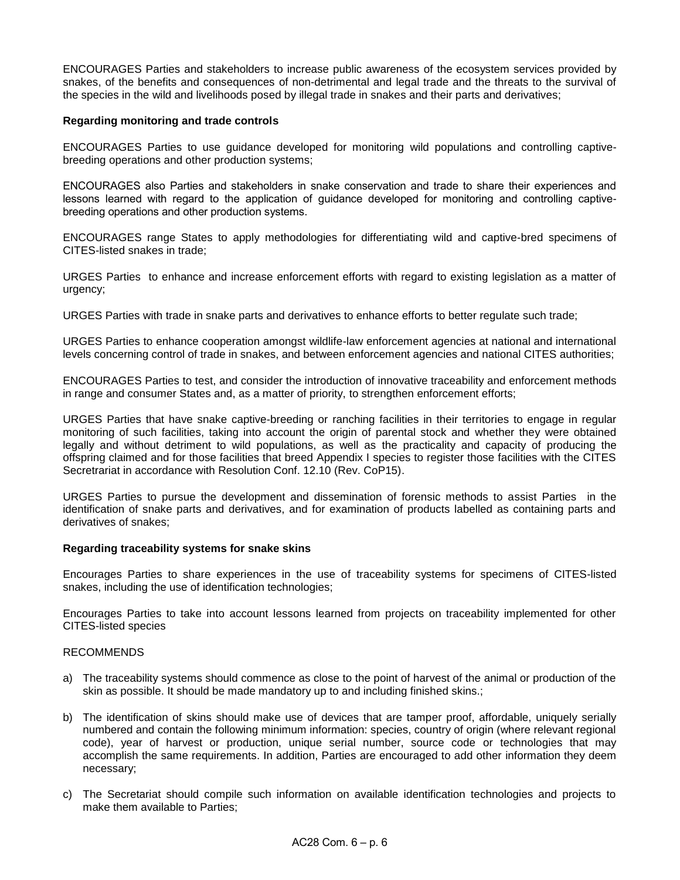ENCOURAGES Parties and stakeholders to increase public awareness of the ecosystem services provided by snakes, of the benefits and consequences of non-detrimental and legal trade and the threats to the survival of the species in the wild and livelihoods posed by illegal trade in snakes and their parts and derivatives;

#### **Regarding monitoring and trade controls**

ENCOURAGES Parties to use guidance developed for monitoring wild populations and controlling captivebreeding operations and other production systems;

ENCOURAGES also Parties and stakeholders in snake conservation and trade to share their experiences and lessons learned with regard to the application of guidance developed for monitoring and controlling captivebreeding operations and other production systems.

ENCOURAGES range States to apply methodologies for differentiating wild and captive-bred specimens of CITES-listed snakes in trade;

URGES Parties to enhance and increase enforcement efforts with regard to existing legislation as a matter of urgency;

URGES Parties with trade in snake parts and derivatives to enhance efforts to better regulate such trade;

URGES Parties to enhance cooperation amongst wildlife-law enforcement agencies at national and international levels concerning control of trade in snakes, and between enforcement agencies and national CITES authorities;

ENCOURAGES Parties to test, and consider the introduction of innovative traceability and enforcement methods in range and consumer States and, as a matter of priority, to strengthen enforcement efforts;

URGES Parties that have snake captive-breeding or ranching facilities in their territories to engage in regular monitoring of such facilities, taking into account the origin of parental stock and whether they were obtained legally and without detriment to wild populations, as well as the practicality and capacity of producing the offspring claimed and for those facilities that breed Appendix I species to register those facilities with the CITES Secretrariat in accordance with Resolution Conf. 12.10 (Rev. CoP15).

URGES Parties to pursue the development and dissemination of forensic methods to assist Parties in the identification of snake parts and derivatives, and for examination of products labelled as containing parts and derivatives of snakes;

# **Regarding traceability systems for snake skins**

Encourages Parties to share experiences in the use of traceability systems for specimens of CITES-listed snakes, including the use of identification technologies;

Encourages Parties to take into account lessons learned from projects on traceability implemented for other CITES-listed species

#### RECOMMENDS

- a) The traceability systems should commence as close to the point of harvest of the animal or production of the skin as possible. It should be made mandatory up to and including finished skins.;
- b) The identification of skins should make use of devices that are tamper proof, affordable, uniquely serially numbered and contain the following minimum information: species, country of origin (where relevant regional code), year of harvest or production, unique serial number, source code or technologies that may accomplish the same requirements. In addition, Parties are encouraged to add other information they deem necessary;
- c) The Secretariat should compile such information on available identification technologies and projects to make them available to Parties;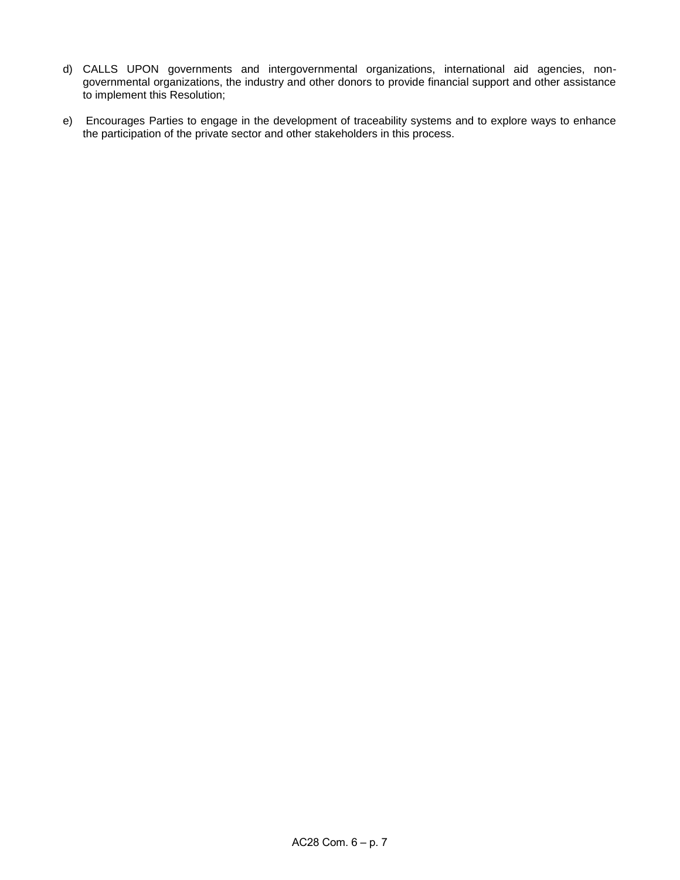- d) CALLS UPON governments and intergovernmental organizations, international aid agencies, nongovernmental organizations, the industry and other donors to provide financial support and other assistance to implement this Resolution;
- e) Encourages Parties to engage in the development of traceability systems and to explore ways to enhance the participation of the private sector and other stakeholders in this process.